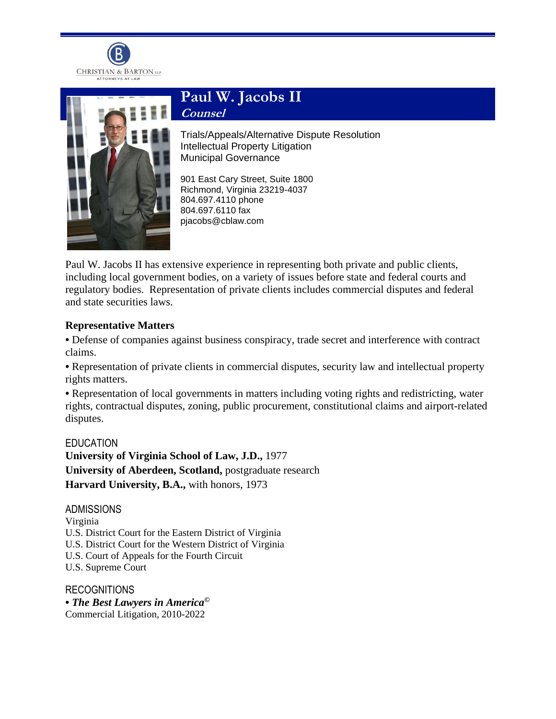



## **Paul W. Jacobs II**

**Counsel**

Trials/Appeals/Alternative Dispute Resolution Intellectual Property Litigation Municipal Governance

901 East Cary Street, Suite 1800 Richmond, Virginia 23219-4037 804.697.4110 phone 804.697.6110 fax pjacobs@cblaw.com

Paul W. Jacobs II has extensive experience in representing both private and public clients, including local government bodies, on a variety of issues before state and federal courts and regulatory bodies. Representation of private clients includes commercial disputes and federal and state securities laws.

## **Representative Matters**

**•** Defense of companies against business conspiracy, trade secret and interference with contract claims.

• Representation of private clients in commercial disputes, security law and intellectual property rights matters.

**•** Representation of local governments in matters including voting rights and redistricting, water rights, contractual disputes, zoning, public procurement, constitutional claims and airport-related disputes.

EDUCATION **University of Virginia School of Law, J.D.,** 1977 **University of Aberdeen, Scotland,** postgraduate research **Harvard University, B.A.,** with honors, 1973

ADMISSIONS Virginia U.S. District Court for the Eastern District of Virginia U.S. District Court for the Western District of Virginia U.S. Court of Appeals for the Fourth Circuit U.S. Supreme Court

**RECOGNITIONS •** *The Best Lawyers in America©* Commercial Litigation, 2010-2022